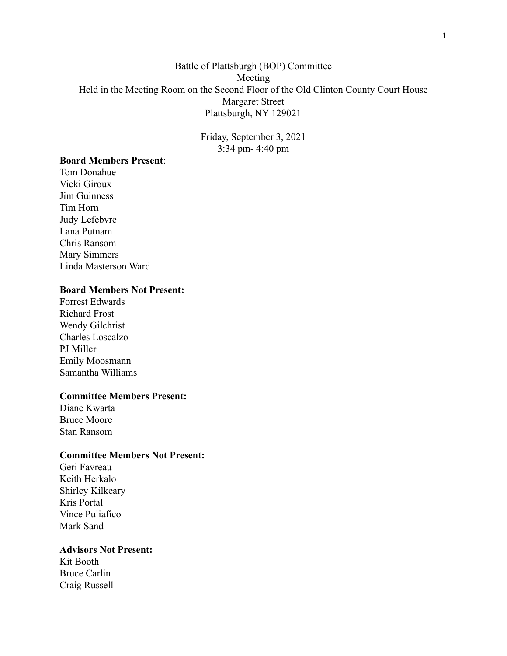# Battle of Plattsburgh (BOP) Committee Meeting Held in the Meeting Room on the Second Floor of the Old Clinton County Court House Margaret Street Plattsburgh, NY 129021

Friday, September 3, 2021 3:34 pm- 4:40 pm

# **Board Members Present**:

Tom Donahue Vicki Giroux Jim Guinness Tim Horn Judy Lefebvre Lana Putnam Chris Ransom Mary Simmers Linda Masterson Ward

## **Board Members Not Present:**

Forrest Edwards Richard Frost Wendy Gilchrist Charles Loscalzo PJ Miller Emily Moosmann Samantha Williams

### **Committee Members Present:**

Diane Kwarta Bruce Moore Stan Ransom

### **Committee Members Not Present:**

Geri Favreau Keith Herkalo Shirley Kilkeary Kris Portal Vince Puliafico Mark Sand

# **Advisors Not Present:**

Kit Booth Bruce Carlin Craig Russell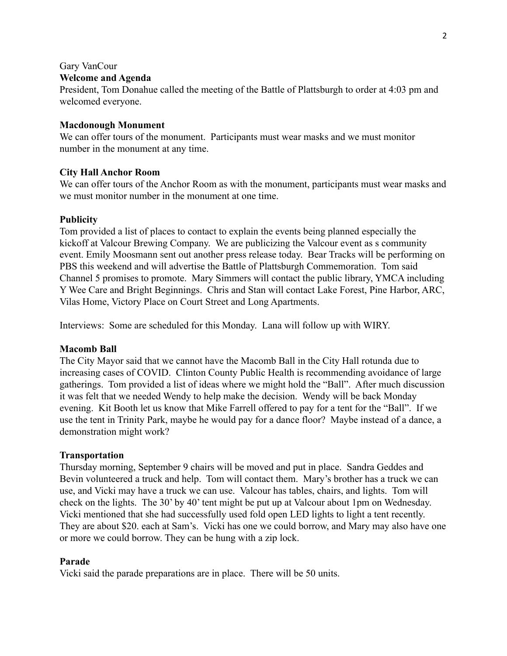# Gary VanCour

# **Welcome and Agenda**

President, Tom Donahue called the meeting of the Battle of Plattsburgh to order at 4:03 pm and welcomed everyone.

### **Macdonough Monument**

We can offer tours of the monument. Participants must wear masks and we must monitor number in the monument at any time.

# **City Hall Anchor Room**

We can offer tours of the Anchor Room as with the monument, participants must wear masks and we must monitor number in the monument at one time.

# **Publicity**

Tom provided a list of places to contact to explain the events being planned especially the kickoff at Valcour Brewing Company. We are publicizing the Valcour event as s community event. Emily Moosmann sent out another press release today. Bear Tracks will be performing on PBS this weekend and will advertise the Battle of Plattsburgh Commemoration. Tom said Channel 5 promises to promote. Mary Simmers will contact the public library, YMCA including Y Wee Care and Bright Beginnings. Chris and Stan will contact Lake Forest, Pine Harbor, ARC, Vilas Home, Victory Place on Court Street and Long Apartments.

Interviews: Some are scheduled for this Monday. Lana will follow up with WIRY.

### **Macomb Ball**

The City Mayor said that we cannot have the Macomb Ball in the City Hall rotunda due to increasing cases of COVID. Clinton County Public Health is recommending avoidance of large gatherings. Tom provided a list of ideas where we might hold the "Ball". After much discussion it was felt that we needed Wendy to help make the decision. Wendy will be back Monday evening. Kit Booth let us know that Mike Farrell offered to pay for a tent for the "Ball". If we use the tent in Trinity Park, maybe he would pay for a dance floor? Maybe instead of a dance, a demonstration might work?

### **Transportation**

Thursday morning, September 9 chairs will be moved and put in place. Sandra Geddes and Bevin volunteered a truck and help. Tom will contact them. Mary's brother has a truck we can use, and Vicki may have a truck we can use. Valcour has tables, chairs, and lights. Tom will check on the lights. The 30' by 40' tent might be put up at Valcour about 1pm on Wednesday. Vicki mentioned that she had successfully used fold open LED lights to light a tent recently. They are about \$20. each at Sam's. Vicki has one we could borrow, and Mary may also have one or more we could borrow. They can be hung with a zip lock.

### **Parade**

Vicki said the parade preparations are in place. There will be 50 units.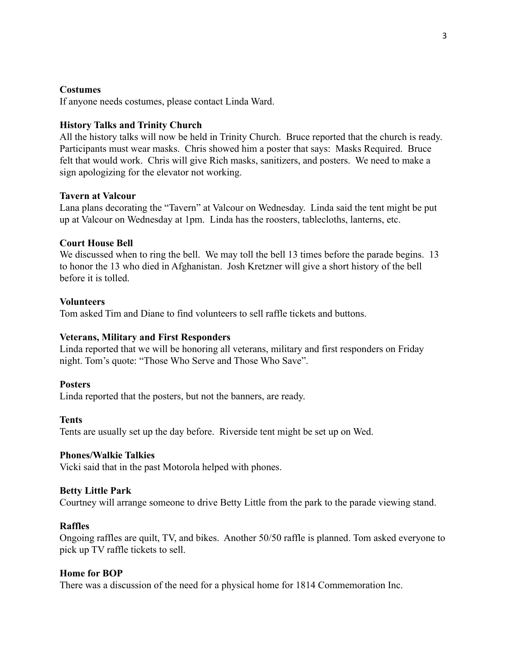#### **Costumes**

If anyone needs costumes, please contact Linda Ward.

#### **History Talks and Trinity Church**

All the history talks will now be held in Trinity Church. Bruce reported that the church is ready. Participants must wear masks. Chris showed him a poster that says: Masks Required. Bruce felt that would work. Chris will give Rich masks, sanitizers, and posters. We need to make a sign apologizing for the elevator not working.

#### **Tavern at Valcour**

Lana plans decorating the "Tavern" at Valcour on Wednesday. Linda said the tent might be put up at Valcour on Wednesday at 1pm. Linda has the roosters, tablecloths, lanterns, etc.

#### **Court House Bell**

We discussed when to ring the bell. We may toll the bell 13 times before the parade begins. 13 to honor the 13 who died in Afghanistan. Josh Kretzner will give a short history of the bell before it is tolled.

#### **Volunteers**

Tom asked Tim and Diane to find volunteers to sell raffle tickets and buttons.

#### **Veterans, Military and First Responders**

Linda reported that we will be honoring all veterans, military and first responders on Friday night. Tom's quote: "Those Who Serve and Those Who Save".

#### **Posters**

Linda reported that the posters, but not the banners, are ready.

#### **Tents**

Tents are usually set up the day before. Riverside tent might be set up on Wed.

#### **Phones/Walkie Talkies**

Vicki said that in the past Motorola helped with phones.

#### **Betty Little Park**

Courtney will arrange someone to drive Betty Little from the park to the parade viewing stand.

#### **Raffles**

Ongoing raffles are quilt, TV, and bikes. Another 50/50 raffle is planned. Tom asked everyone to pick up TV raffle tickets to sell.

#### **Home for BOP**

There was a discussion of the need for a physical home for 1814 Commemoration Inc.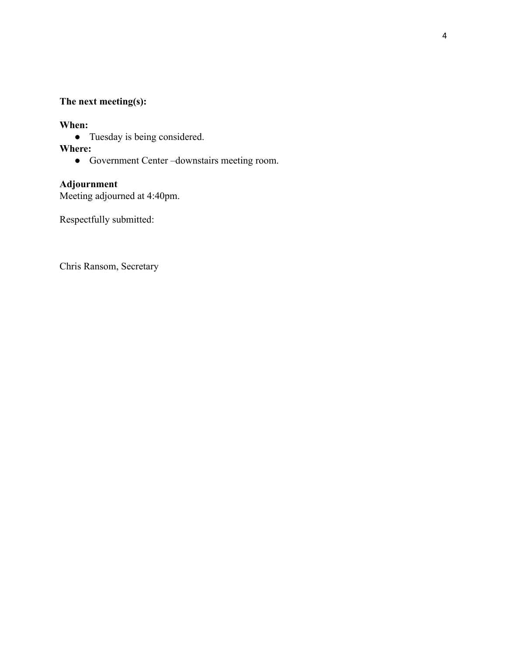# **The next meeting(s):**

# **When:**

● Tuesday is being considered.

# **Where:**

**●** Government Center –downstairs meeting room.

# **Adjournment**

Meeting adjourned at 4:40pm.

Respectfully submitted:

Chris Ransom, Secretary